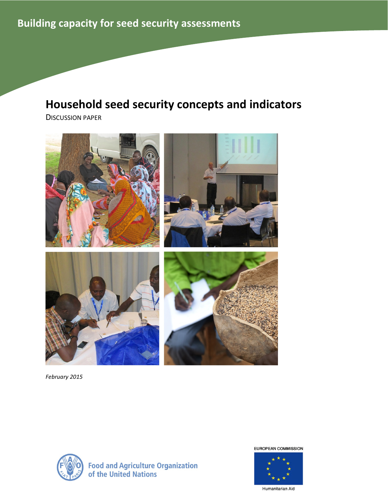# Household seed security concepts and indicators

DISCUSSION PAPER



February 2015



**Food and Agriculture Organization<br>of the United Nations** 

**EUROPEAN COMMISSION** 



Humanitarian Aid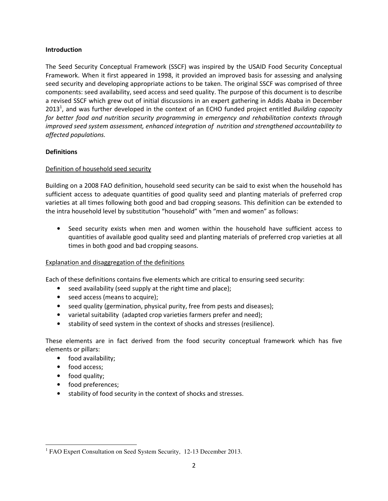## Introduction

The Seed Security Conceptual Framework (SSCF) was inspired by the USAID Food Security Conceptual Framework. When it first appeared in 1998, it provided an improved basis for assessing and analysing seed security and developing appropriate actions to be taken. The original SSCF was comprised of three components: seed availability, seed access and seed quality. The purpose of this document is to describe a revised SSCF which grew out of initial discussions in an expert gathering in Addis Ababa in December 2013<sup>1</sup>, and was further developed in the context of an ECHO funded project entitled Building capacity for better food and nutrition security programming in emergency and rehabilitation contexts through improved seed system assessment, enhanced integration of nutrition and strengthened accountability to affected populations.

# **Definitions**

# Definition of household seed security

Building on a 2008 FAO definition, household seed security can be said to exist when the household has sufficient access to adequate quantities of good quality seed and planting materials of preferred crop varieties at all times following both good and bad cropping seasons. This definition can be extended to the intra household level by substitution "household" with "men and women" as follows:

• Seed security exists when men and women within the household have sufficient access to quantities of available good quality seed and planting materials of preferred crop varieties at all times in both good and bad cropping seasons.

# Explanation and disaggregation of the definitions

Each of these definitions contains five elements which are critical to ensuring seed security:

- seed availability (seed supply at the right time and place);
- seed access (means to acquire);
- seed quality (germination, physical purity, free from pests and diseases);
- varietal suitability (adapted crop varieties farmers prefer and need);
- stability of seed system in the context of shocks and stresses (resilience).

These elements are in fact derived from the food security conceptual framework which has five elements or pillars:

- food availability;
- food access;
- food quality;

 $\overline{\phantom{0}}$ 

- food preferences;
- stability of food security in the context of shocks and stresses.

<sup>&</sup>lt;sup>1</sup> FAO Expert Consultation on Seed System Security, 12-13 December 2013.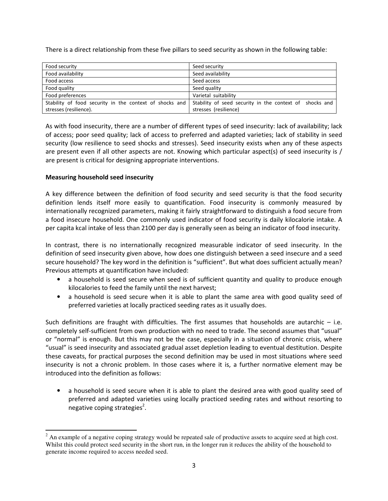There is a direct relationship from these five pillars to seed security as shown in the following table:

| Food security                                           | Seed security                                           |
|---------------------------------------------------------|---------------------------------------------------------|
| Food availability                                       | Seed availability                                       |
| Food access                                             | Seed access                                             |
| Food quality                                            | Seed quality                                            |
| Food preferences                                        | Varietal suitability                                    |
| Stability of food security in the context of shocks and | Stability of seed security in the context of shocks and |
| stresses (resilience).                                  | stresses (resilience)                                   |

As with food insecurity, there are a number of different types of seed insecurity: lack of availability; lack of access; poor seed quality; lack of access to preferred and adapted varieties; lack of stability in seed security (low resilience to seed shocks and stresses). Seed insecurity exists when any of these aspects are present even if all other aspects are not. Knowing which particular aspect(s) of seed insecurity is / are present is critical for designing appropriate interventions.

# Measuring household seed insecurity

 $\overline{a}$ 

A key difference between the definition of food security and seed security is that the food security definition lends itself more easily to quantification. Food insecurity is commonly measured by internationally recognized parameters, making it fairly straightforward to distinguish a food secure from a food insecure household. One commonly used indicator of food security is daily kilocalorie intake. A per capita kcal intake of less than 2100 per day is generally seen as being an indicator of food insecurity.

In contrast, there is no internationally recognized measurable indicator of seed insecurity. In the definition of seed insecurity given above, how does one distinguish between a seed insecure and a seed secure household? The key word in the definition is "sufficient". But what does sufficient actually mean? Previous attempts at quantification have included:

- a household is seed secure when seed is of sufficient quantity and quality to produce enough kilocalories to feed the family until the next harvest;
- a household is seed secure when it is able to plant the same area with good quality seed of preferred varieties at locally practiced seeding rates as it usually does.

Such definitions are fraught with difficulties. The first assumes that households are autarchic  $-$  i.e. completely self-sufficient from own production with no need to trade. The second assumes that "usual" or "normal" is enough. But this may not be the case, especially in a situation of chronic crisis, where "usual" is seed insecurity and associated gradual asset depletion leading to eventual destitution. Despite these caveats, for practical purposes the second definition may be used in most situations where seed insecurity is not a chronic problem. In those cases where it is, a further normative element may be introduced into the definition as follows:

• a household is seed secure when it is able to plant the desired area with good quality seed of preferred and adapted varieties using locally practiced seeding rates and without resorting to negative coping strategies<sup>2</sup>.

 $2^2$  An example of a negative coping strategy would be repeated sale of productive assets to acquire seed at high cost. Whilst this could protect seed security in the short run, in the longer run it reduces the ability of the household to generate income required to access needed seed.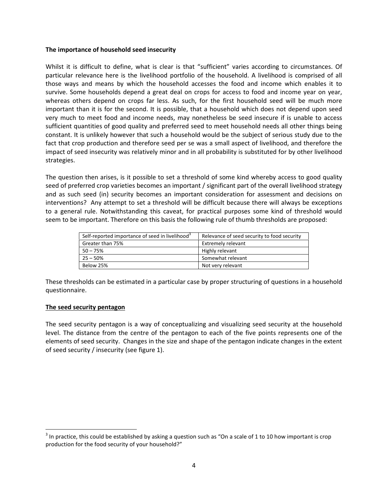#### The importance of household seed insecurity

Whilst it is difficult to define, what is clear is that "sufficient" varies according to circumstances. Of particular relevance here is the livelihood portfolio of the household. A livelihood is comprised of all those ways and means by which the household accesses the food and income which enables it to survive. Some households depend a great deal on crops for access to food and income year on year, whereas others depend on crops far less. As such, for the first household seed will be much more important than it is for the second. It is possible, that a household which does not depend upon seed very much to meet food and income needs, may nonetheless be seed insecure if is unable to access sufficient quantities of good quality and preferred seed to meet household needs all other things being constant. It is unlikely however that such a household would be the subject of serious study due to the fact that crop production and therefore seed per se was a small aspect of livelihood, and therefore the impact of seed insecurity was relatively minor and in all probability is substituted for by other livelihood strategies.

The question then arises, is it possible to set a threshold of some kind whereby access to good quality seed of preferred crop varieties becomes an important / significant part of the overall livelihood strategy and as such seed (in) security becomes an important consideration for assessment and decisions on interventions? Any attempt to set a threshold will be difficult because there will always be exceptions to a general rule. Notwithstanding this caveat, for practical purposes some kind of threshold would seem to be important. Therefore on this basis the following rule of thumb thresholds are proposed:

| Self-reported importance of seed in livelihood <sup>3</sup> | Relevance of seed security to food security |
|-------------------------------------------------------------|---------------------------------------------|
| Greater than 75%                                            | Extremely relevant                          |
| $50 - 75%$                                                  | Highly relevant                             |
| $25 - 50%$                                                  | Somewhat relevant                           |
| Below 25%                                                   | Not very relevant                           |

These thresholds can be estimated in a particular case by proper structuring of questions in a household questionnaire.

## The seed security pentagon

The seed security pentagon is a way of conceptualizing and visualizing seed security at the household level. The distance from the centre of the pentagon to each of the five points represents one of the elements of seed security. Changes in the size and shape of the pentagon indicate changes in the extent of seed security / insecurity (see figure 1).

 $3$  In practice, this could be established by asking a question such as "On a scale of 1 to 10 how important is crop production for the food security of your household?"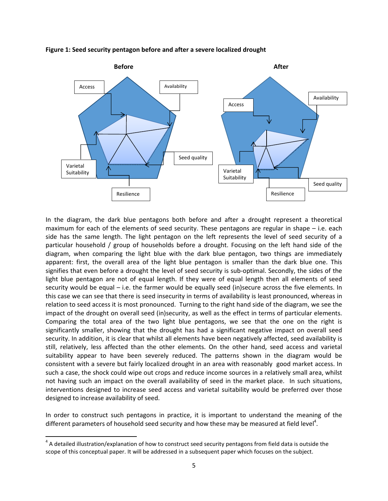

Figure 1: Seed security pentagon before and after a severe localized drought

In the diagram, the dark blue pentagons both before and after a drought represent a theoretical maximum for each of the elements of seed security. These pentagons are regular in shape – i.e. each side has the same length. The light pentagon on the left represents the level of seed security of a particular household / group of households before a drought. Focusing on the left hand side of the diagram, when comparing the light blue with the dark blue pentagon, two things are immediately apparent: first, the overall area of the light blue pentagon is smaller than the dark blue one. This signifies that even before a drought the level of seed security is sub-optimal. Secondly, the sides of the light blue pentagon are not of equal length. If they were of equal length then all elements of seed security would be equal – i.e. the farmer would be equally seed (in)secure across the five elements. In this case we can see that there is seed insecurity in terms of availability is least pronounced, whereas in relation to seed access it is most pronounced. Turning to the right hand side of the diagram, we see the impact of the drought on overall seed (in)security, as well as the effect in terms of particular elements. Comparing the total area of the two light blue pentagons, we see that the one on the right is significantly smaller, showing that the drought has had a significant negative impact on overall seed security. In addition, it is clear that whilst all elements have been negatively affected, seed availability is still, relatively, less affected than the other elements. On the other hand, seed access and varietal suitability appear to have been severely reduced. The patterns shown in the diagram would be consistent with a severe but fairly localized drought in an area with reasonably good market access. In such a case, the shock could wipe out crops and reduce income sources in a relatively small area, whilst not having such an impact on the overall availability of seed in the market place. In such situations, interventions designed to increase seed access and varietal suitability would be preferred over those designed to increase availability of seed.

In order to construct such pentagons in practice, it is important to understand the meaning of the different parameters of household seed security and how these may be measured at field level<sup>4</sup>.

l

 $4$  A detailed illustration/explanation of how to construct seed security pentagons from field data is outside the scope of this conceptual paper. It will be addressed in a subsequent paper which focuses on the subject.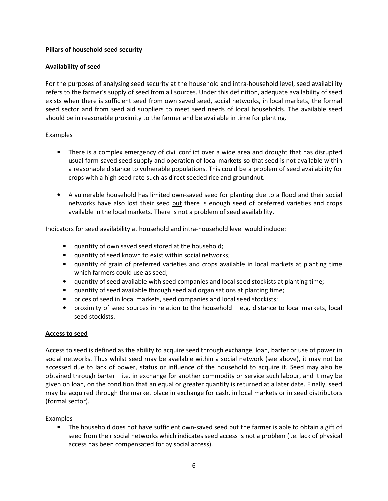# Pillars of household seed security

# Availability of seed

For the purposes of analysing seed security at the household and intra-household level, seed availability refers to the farmer's supply of seed from all sources. Under this definition, adequate availability of seed exists when there is sufficient seed from own saved seed, social networks, in local markets, the formal seed sector and from seed aid suppliers to meet seed needs of local households. The available seed should be in reasonable proximity to the farmer and be available in time for planting.

# Examples

- There is a complex emergency of civil conflict over a wide area and drought that has disrupted usual farm-saved seed supply and operation of local markets so that seed is not available within a reasonable distance to vulnerable populations. This could be a problem of seed availability for crops with a high seed rate such as direct seeded rice and groundnut.
- A vulnerable household has limited own-saved seed for planting due to a flood and their social networks have also lost their seed but there is enough seed of preferred varieties and crops available in the local markets. There is not a problem of seed availability.

Indicators for seed availability at household and intra-household level would include:

- quantity of own saved seed stored at the household;
- quantity of seed known to exist within social networks;
- quantity of grain of preferred varieties and crops available in local markets at planting time which farmers could use as seed;
- quantity of seed available with seed companies and local seed stockists at planting time;
- quantity of seed available through seed aid organisations at planting time;
- prices of seed in local markets, seed companies and local seed stockists;
- proximity of seed sources in relation to the household e.g. distance to local markets, local seed stockists.

## Access to seed

Access to seed is defined as the ability to acquire seed through exchange, loan, barter or use of power in social networks. Thus whilst seed may be available within a social network (see above), it may not be accessed due to lack of power, status or influence of the household to acquire it. Seed may also be obtained through barter – i.e. in exchange for another commodity or service such labour, and it may be given on loan, on the condition that an equal or greater quantity is returned at a later date. Finally, seed may be acquired through the market place in exchange for cash, in local markets or in seed distributors (formal sector).

## Examples

• The household does not have sufficient own-saved seed but the farmer is able to obtain a gift of seed from their social networks which indicates seed access is not a problem (i.e. lack of physical access has been compensated for by social access).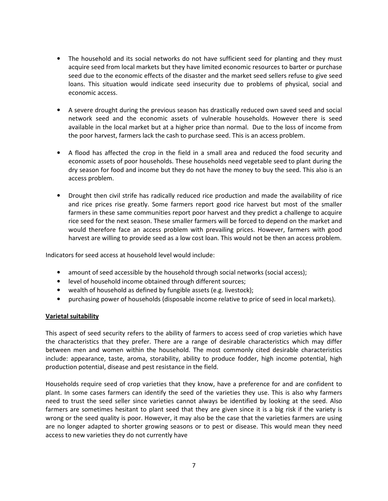- The household and its social networks do not have sufficient seed for planting and they must acquire seed from local markets but they have limited economic resources to barter or purchase seed due to the economic effects of the disaster and the market seed sellers refuse to give seed loans. This situation would indicate seed insecurity due to problems of physical, social and economic access.
- A severe drought during the previous season has drastically reduced own saved seed and social network seed and the economic assets of vulnerable households. However there is seed available in the local market but at a higher price than normal. Due to the loss of income from the poor harvest, farmers lack the cash to purchase seed. This is an access problem.
- A flood has affected the crop in the field in a small area and reduced the food security and economic assets of poor households. These households need vegetable seed to plant during the dry season for food and income but they do not have the money to buy the seed. This also is an access problem.
- Drought then civil strife has radically reduced rice production and made the availability of rice and rice prices rise greatly. Some farmers report good rice harvest but most of the smaller farmers in these same communities report poor harvest and they predict a challenge to acquire rice seed for the next season. These smaller farmers will be forced to depend on the market and would therefore face an access problem with prevailing prices. However, farmers with good harvest are willing to provide seed as a low cost loan. This would not be then an access problem.

Indicators for seed access at household level would include:

- amount of seed accessible by the household through social networks (social access);
- level of household income obtained through different sources;
- wealth of household as defined by fungible assets (e.g. livestock);
- purchasing power of households (disposable income relative to price of seed in local markets).

#### Varietal suitability

This aspect of seed security refers to the ability of farmers to access seed of crop varieties which have the characteristics that they prefer. There are a range of desirable characteristics which may differ between men and women within the household. The most commonly cited desirable characteristics include: appearance, taste, aroma, storability, ability to produce fodder, high income potential, high production potential, disease and pest resistance in the field.

Households require seed of crop varieties that they know, have a preference for and are confident to plant. In some cases farmers can identify the seed of the varieties they use. This is also why farmers need to trust the seed seller since varieties cannot always be identified by looking at the seed. Also farmers are sometimes hesitant to plant seed that they are given since it is a big risk if the variety is wrong or the seed quality is poor. However, it may also be the case that the varieties farmers are using are no longer adapted to shorter growing seasons or to pest or disease. This would mean they need access to new varieties they do not currently have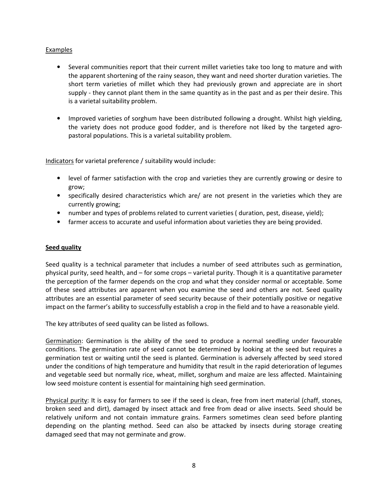## Examples

- Several communities report that their current millet varieties take too long to mature and with the apparent shortening of the rainy season, they want and need shorter duration varieties. The short term varieties of millet which they had previously grown and appreciate are in short supply - they cannot plant them in the same quantity as in the past and as per their desire. This is a varietal suitability problem.
- Improved varieties of sorghum have been distributed following a drought. Whilst high yielding, the variety does not produce good fodder, and is therefore not liked by the targeted agropastoral populations. This is a varietal suitability problem.

Indicators for varietal preference / suitability would include:

- level of farmer satisfaction with the crop and varieties they are currently growing or desire to grow;
- specifically desired characteristics which are/ are not present in the varieties which they are currently growing;
- number and types of problems related to current varieties ( duration, pest, disease, yield);
- farmer access to accurate and useful information about varieties they are being provided.

#### Seed quality

Seed quality is a technical parameter that includes a number of seed attributes such as germination, physical purity, seed health, and – for some crops – varietal purity. Though it is a quantitative parameter the perception of the farmer depends on the crop and what they consider normal or acceptable. Some of these seed attributes are apparent when you examine the seed and others are not. Seed quality attributes are an essential parameter of seed security because of their potentially positive or negative impact on the farmer's ability to successfully establish a crop in the field and to have a reasonable yield.

The key attributes of seed quality can be listed as follows.

Germination: Germination is the ability of the seed to produce a normal seedling under favourable conditions. The germination rate of seed cannot be determined by looking at the seed but requires a germination test or waiting until the seed is planted. Germination is adversely affected by seed stored under the conditions of high temperature and humidity that result in the rapid deterioration of legumes and vegetable seed but normally rice, wheat, millet, sorghum and maize are less affected. Maintaining low seed moisture content is essential for maintaining high seed germination.

Physical purity: It is easy for farmers to see if the seed is clean, free from inert material (chaff, stones, broken seed and dirt), damaged by insect attack and free from dead or alive insects. Seed should be relatively uniform and not contain immature grains. Farmers sometimes clean seed before planting depending on the planting method. Seed can also be attacked by insects during storage creating damaged seed that may not germinate and grow.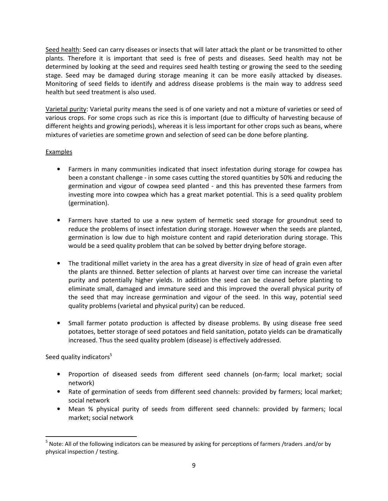Seed health: Seed can carry diseases or insects that will later attack the plant or be transmitted to other plants. Therefore it is important that seed is free of pests and diseases. Seed health may not be determined by looking at the seed and requires seed health testing or growing the seed to the seeding stage. Seed may be damaged during storage meaning it can be more easily attacked by diseases. Monitoring of seed fields to identify and address disease problems is the main way to address seed health but seed treatment is also used.

Varietal purity: Varietal purity means the seed is of one variety and not a mixture of varieties or seed of various crops. For some crops such as rice this is important (due to difficulty of harvesting because of different heights and growing periods), whereas it is less important for other crops such as beans, where mixtures of varieties are sometime grown and selection of seed can be done before planting.

# Examples

- Farmers in many communities indicated that insect infestation during storage for cowpea has been a constant challenge - in some cases cutting the stored quantities by 50% and reducing the germination and vigour of cowpea seed planted - and this has prevented these farmers from investing more into cowpea which has a great market potential. This is a seed quality problem (germination).
- Farmers have started to use a new system of hermetic seed storage for groundnut seed to reduce the problems of insect infestation during storage. However when the seeds are planted, germination is low due to high moisture content and rapid deterioration during storage. This would be a seed quality problem that can be solved by better drying before storage.
- The traditional millet variety in the area has a great diversity in size of head of grain even after the plants are thinned. Better selection of plants at harvest over time can increase the varietal purity and potentially higher yields. In addition the seed can be cleaned before planting to eliminate small, damaged and immature seed and this improved the overall physical purity of the seed that may increase germination and vigour of the seed. In this way, potential seed quality problems (varietal and physical purity) can be reduced.
- Small farmer potato production is affected by disease problems. By using disease free seed potatoes, better storage of seed potatoes and field sanitation, potato yields can be dramatically increased. Thus the seed quality problem (disease) is effectively addressed.

Seed quality indicators<sup>5</sup>

l

- Proportion of diseased seeds from different seed channels (on-farm; local market; social network)
- Rate of germination of seeds from different seed channels: provided by farmers; local market; social network
- Mean % physical purity of seeds from different seed channels: provided by farmers; local market; social network

<sup>&</sup>lt;sup>5</sup> Note: All of the following indicators can be measured by asking for perceptions of farmers /traders .and/or by physical inspection / testing.